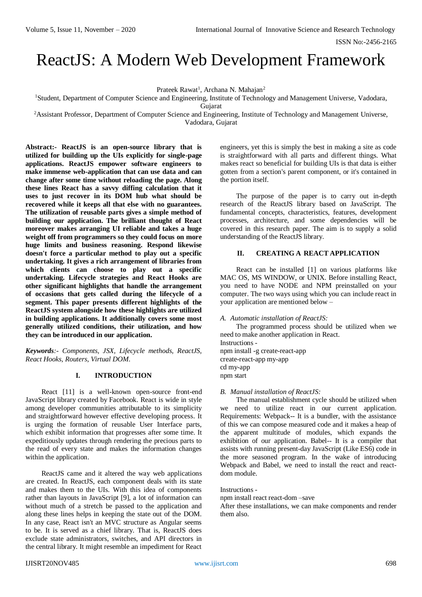# ReactJS: A Modern Web Development Framework

Prateek Rawat<sup>1</sup>, Archana N. Mahajan<sup>2</sup>

<sup>1</sup>Student, Department of Computer Science and Engineering, Institute of Technology and Management Universe, Vadodara,

Gujarat

<sup>2</sup>Assistant Professor, Department of Computer Science and Engineering, Institute of Technology and Management Universe, Vadodara, Gujarat

**Abstract:- ReactJS is an open-source library that is utilized for building up the UIs explicitly for single-page applications. ReactJS empower software engineers to make immense web-application that can use data and can change after some time without reloading the page. Along these lines React has a savvy diffing calculation that it uses to just recover in its DOM hub what should be recovered while it keeps all that else with no guarantees. The utilization of reusable parts gives a simple method of building our application. The brilliant thought of React moreover makes arranging UI reliable and takes a huge weight off from programmers so they could focus on more huge limits and business reasoning. Respond likewise doesn't force a particular method to play out a specific undertaking. It gives a rich arrangement of libraries from which clients can choose to play out a specific undertaking. Lifecycle strategies and React Hooks are other significant highlights that handle the arrangement of occasions that gets called during the lifecycle of a segment. This paper presents different highlights of the ReactJS system alongside how these highlights are utilized in building applications. It additionally covers some most generally utilized conditions, their utilization, and how they can be introduced in our application.** 

*Keywords:- Components, JSX, Lifecycle methods, ReactJS, React Hooks, Routers, Virtual DOM.*

## **I. INTRODUCTION**

React [11] is a well-known open-source front-end JavaScript library created by Facebook. React is wide in style among developer communities attributable to its simplicity and straightforward however effective developing process. It is urging the formation of reusable User Interface parts, which exhibit information that progresses after some time. It expeditiously updates through rendering the precious parts to the read of every state and makes the information changes within the application.

ReactJS came and it altered the way web applications are created. In ReactJS, each component deals with its state and makes them to the UIs. With this idea of components rather than layouts in JavaScript [9], a lot of information can without much of a stretch be passed to the application and along these lines helps in keeping the state out of the DOM. In any case, React isn't an MVC structure as Angular seems to be. It is served as a chief library. That is, ReactJS does exclude state administrators, switches, and API directors in the central library. It might resemble an impediment for React

engineers, yet this is simply the best in making a site as code is straightforward with all parts and different things. What makes react so beneficial for building UIs is that data is either gotten from a section's parent component, or it's contained in the portion itself.

The purpose of the paper is to carry out in-depth research of the ReactJS library based on JavaScript. The fundamental concepts, characteristics, features, development processes, architecture, and some dependencies will be covered in this research paper. The aim is to supply a solid understanding of the ReactJS library.

# **II. CREATING A REACT APPLICATION**

React can be installed [1] on various platforms like MAC OS, MS WINDOW, or UNIX. Before installing React, you need to have NODE and NPM preinstalled on your computer. The two ways using which you can include react in your application are mentioned below –

## *A. Automatic installation of ReactJS:*

The programmed process should be utilized when we need to make another application in React. Instructions -

npm install -g create-react-app create-react-app my-app cd my-app npm start

## *B. Manual installation of ReactJS:*

The manual establishment cycle should be utilized when we need to utilize react in our current application. Requirements: Webpack-- It is a bundler, with the assistance of this we can compose measured code and it makes a heap of the apparent multitude of modules, which expands the exhibition of our application. Babel-- It is a compiler that assists with running present-day JavaScript (Like ES6) code in the more seasoned program. In the wake of introducing Webpack and Babel, we need to install the react and reactdom module.

## Instructions -

npm install react react-dom –save

After these installations, we can make components and render them also.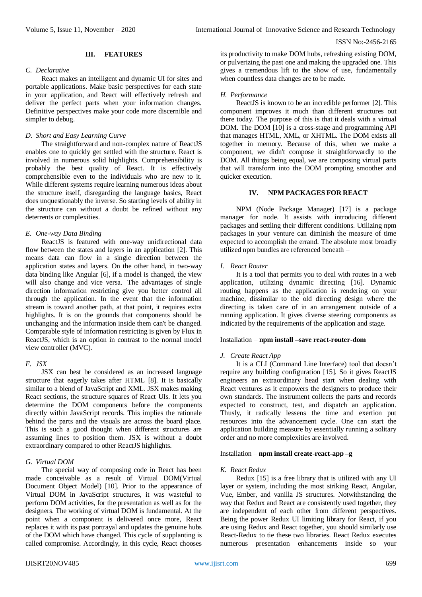## **III. FEATURES**

## *C. Declarative*

React makes an intelligent and dynamic UI for sites and portable applications. Make basic perspectives for each state in your application, and React will effectively refresh and deliver the perfect parts when your information changes. Definitive perspectives make your code more discernible and simpler to debug.

# *D. Short and Easy Learning Curve*

The straightforward and non-complex nature of ReactJS enables one to quickly get settled with the structure. React is involved in numerous solid highlights. Comprehensibility is probably the best quality of React. It is effectively comprehensible even to the individuals who are new to it. While different systems require learning numerous ideas about the structure itself, disregarding the language basics, React does unquestionably the inverse. So starting levels of ability in the structure can without a doubt be refined without any deterrents or complexities.

# *E. One-way Data Binding*

ReactJS is featured with one-way unidirectional data flow between the states and layers in an application [2]. This means data can flow in a single direction between the application states and layers. On the other hand, in two-way data binding like Angular [6], if a model is changed, the view will also change and vice versa. The advantages of single direction information restricting give you better control all through the application. In the event that the information stream is toward another path, at that point, it requires extra highlights. It is on the grounds that components should be unchanging and the information inside them can't be changed. Comparable style of information restricting is given by Flux in ReactJS, which is an option in contrast to the normal model view controller (MVC).

# *F. JSX*

JSX can best be considered as an increased language structure that eagerly takes after HTML [8]. It is basically similar to a blend of JavaScript and XML. JSX makes making React sections, the structure squares of React UIs. It lets you determine the DOM components before the components directly within JavaScript records. This implies the rationale behind the parts and the visuals are across the board place. This is such a good thought when different structures are assuming lines to position them. JSX is without a doubt extraordinary compared to other ReactJS highlights.

# *G. Virtual DOM*

The special way of composing code in React has been made conceivable as a result of Virtual DOM(Virtual Document Object Model) [10]. Prior to the appearance of Virtual DOM in JavaScript structures, it was wasteful to perform DOM activities, for the presentation as well as for the designers. The working of virtual DOM is fundamental. At the point when a component is delivered once more, React replaces it with its past portrayal and updates the genuine hubs of the DOM which have changed. This cycle of supplanting is called compromise. Accordingly, in this cycle, React chooses

its productivity to make DOM hubs, refreshing existing DOM, or pulverizing the past one and making the upgraded one. This gives a tremendous lift to the show of use, fundamentally when countless data changes are to be made.

# *H. Performance*

ReactJS is known to be an incredible performer [2]. This component improves it much than different structures out there today. The purpose of this is that it deals with a virtual DOM. The DOM [10] is a cross-stage and programming API that manages HTML, XML, or XHTML. The DOM exists all together in memory. Because of this, when we make a component, we didn't compose it straightforwardly to the DOM. All things being equal, we are composing virtual parts that will transform into the DOM prompting smoother and quicker execution.

# **IV. NPM PACKAGES FOR REACT**

NPM (Node Package Manager) [17] is a package manager for node. It assists with introducing different packages and settling their different conditions. Utilizing npm packages in your venture can diminish the measure of time expected to accomplish the errand. The absolute most broadly utilized npm bundles are referenced beneath –

## *I. React Router*

It is a tool that permits you to deal with routes in a web application, utilizing dynamic directing [16]. Dynamic routing happens as the application is rendering on your machine, dissimilar to the old directing design where the directing is taken care of in an arrangement outside of a running application. It gives diverse steering components as indicated by the requirements of the application and stage.

# Installation – **npm install –save react-router-dom**

## *J. Create React App*

It is a CLI (Command Line Interface) tool that doesn't require any building configuration [15]. So it gives ReactJS engineers an extraordinary head start when dealing with React ventures as it empowers the designers to produce their own standards. The instrument collects the parts and records expected to construct, test, and dispatch an application. Thusly, it radically lessens the time and exertion put resources into the advancement cycle. One can start the application building measure by essentially running a solitary order and no more complexities are involved*.*

# Installation – **npm install create-react-app –g**

## *K. React Redux*

Redux [15] is a free library that is utilized with any UI layer or system, including the most striking React, Angular, Vue, Ember, and vanilla JS structures. Notwithstanding the way that Redux and React are consistently used together, they are independent of each other from different perspectives. Being the power Redux UI limiting library for React, if you are using Redux and React together, you should similarly use React-Redux to tie these two libraries. React Redux executes numerous presentation enhancements inside so your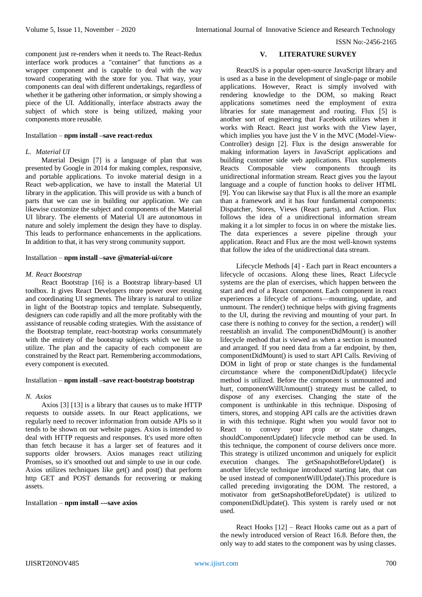component just re-renders when it needs to. The React-Redux interface work produces a "container" that functions as a wrapper component and is capable to deal with the way toward cooperating with the store for you. That way, your components can deal with different undertakings, regardless of whether it be gathering other information, or simply showing a piece of the UI. Additionally, interface abstracts away the subject of which store is being utilized, making your components more reusable.

# Installation – **npm install –save react-redux**

# *L. Material UI*

Material Design [7] is a language of plan that was presented by Google in 2014 for making complex, responsive, and portable applications. To invoke material design in a React web-application, we have to install the Material UI library in the application. This will provide us with a bunch of parts that we can use in building our application. We can likewise customize the subject and components of the Material UI library. The elements of Material UI are autonomous in nature and solely implement the design they have to display. This leads to performance enhancements in the applications. In addition to that, it has very strong community support.

### Installation – **npm install –save @material-ui/core**

### *M. React Bootstrap*

React Bootstrap [16] is a Bootstrap library-based UI toolbox. It gives React Developers more power over reusing and coordinating UI segments. The library is natural to utilize in light of the Bootstrap topics and template. Subsequently, designers can code rapidly and all the more profitably with the assistance of reusable coding strategies. With the assistance of the Bootstrap template, react-bootstrap works consummately with the entirety of the bootstrap subjects which we like to utilize. The plan and the capacity of each component are constrained by the React part. Remembering accommodations, every component is executed.

## Installation – **npm install –save react-bootstrap bootstrap**

#### *N. Axios*

Axios [3] [13] is a library that causes us to make HTTP requests to outside assets. In our React applications, we regularly need to recover information from outside APIs so it tends to be shown on our website pages. Axios is intended to deal with HTTP requests and responses. It's used more often than fetch because it has a larger set of features and it supports older browsers. Axios manages react utilizing Promises, so it's smoothed out and simple to use in our code. Axios utilizes techniques like get() and post() that perform http GET and POST demands for recovering or making assets.

## Installation – **npm install ---save axios**

## **V. LITERATURE SURVEY**

ReactJS is a popular open-source JavaScript library and is used as a base in the development of [single-page](https://en.wikipedia.org/wiki/Single-page_application) or mobile applications. However, React is simply involved with rendering knowledge to the DOM, so making React applications sometimes need the employment of extra libraries for state management and routing. Flux [5] is another sort of engineering that Facebook utilizes when it works with React. React just works with the View layer, which implies you have just the V in the MVC (Model-View-Controller) design [2]. Flux is the design answerable for making information layers in JavaScript applications and building customer side web applications. Flux supplements Reacts Composable view components through its unidirectional information stream. React gives you the layout language and a couple of function hooks to deliver HTML [9]. You can likewise say that Flux is all the more an example than a framework and it has four fundamental components: Dispatcher, Stores, Views (React parts), and Action. Flux follows the idea of a unidirectional information stream making it a lot simpler to focus in on where the mistake lies. The data experiences a severe pipeline through your application. React and Flux are the most well-known systems that follow the idea of the unidirectional data stream.

Lifecycle Methods [4] - Each part in React encounters a lifecycle of occasions. Along these lines, React Lifecycle systems are the plan of exercises, which happen between the start and end of a React component. Each component in react experiences a lifecycle of actions—mounting, update, and unmount. The render() technique helps with giving fragments to the UI, during the reviving and mounting of your part. In case there is nothing to convey for the section, a render() will reestablish an invalid. The componentDidMount() is another lifecycle method that is viewed as when a section is mounted and arranged. If you need data from a far endpoint, by then, componentDidMount() is used to start API Calls. Reviving of DOM in light of prop or state changes is the fundamental circumstance where the componentDidUpdate() lifecycle method is utilized. Before the component is unmounted and hurt, componentWillUnmount() strategy must be called, to dispose of any exercises. Changing the state of the component is unthinkable in this technique. Disposing of timers, stores, and stopping API calls are the activities drawn in with this technique. Right when you would favor not to React to convey your prop or state changes, shouldComponentUpdate() lifecycle method can be used. In this technique, the component of course delivers once more. This strategy is utilized uncommon and uniquely for explicit execution changes. The getSnapshotBeforeUpdate() is another lifecycle technique introduced starting late, that can be used instead of componentWillUpdate().This procedure is called preceding invigorating the DOM. The restored, a motivator from getSnapshotBeforeUpdate() is utilized to componentDidUpdate(). This system is rarely used or not used.

React Hooks [12] – React Hooks came out as a part of the newly introduced version of React 16.8. Before then, the only way to add states to the component was by using classes.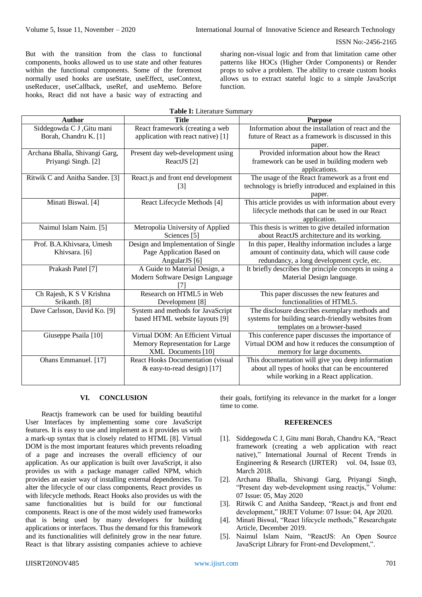But with the transition from the class to functional components, hooks allowed us to use state and other features within the functional components. Some of the foremost normally used hooks are useState, useEffect, useContext, useReducer, useCallback, useRef, and useMemo. Before hooks, React did not have a basic way of extracting and

sharing non-visual logic and from that limitation came other patterns like HOCs (Higher Order Components) or Render props to solve a problem. The ability to create custom hooks allows us to extract stateful logic to a simple JavaScript function.

| Table I: Literature Summary     |                                                      |                                                        |
|---------------------------------|------------------------------------------------------|--------------------------------------------------------|
| <b>Author</b>                   | <b>Title</b>                                         | <b>Purpose</b>                                         |
| Siddegowda C J , Gitu mani      | React framework (creating a web                      | Information about the installation of react and the    |
| Borah, Chandru K. [1]           | application with react native) [1]                   | future of React as a framework is discussed in this    |
|                                 |                                                      | paper.                                                 |
| Archana Bhalla, Shivangi Garg,  | Present day web-development using                    | Provided information about how the React               |
| Priyangi Singh. [2]             | ReactJS <sup>[2]</sup>                               | framework can be used in building modern web           |
|                                 |                                                      | applications.                                          |
| Ritwik C and Anitha Sandee. [3] | React.js and front end development                   | The usage of the React framework as a front end        |
|                                 | $[3]$                                                | technology is briefly introduced and explained in this |
|                                 |                                                      | paper.                                                 |
| Minati Biswal. [4]              | React Lifecycle Methods [4]                          | This article provides us with information about every  |
|                                 |                                                      | lifecycle methods that can be used in our React        |
|                                 |                                                      | application.                                           |
| Naimul Islam Naim. [5]          | Metropolia University of Applied                     | This thesis is written to give detailed information    |
|                                 | Sciences <sup>[5]</sup>                              | about ReactJS architecture and its working.            |
| Prof. B.A.Khivsara, Umesh       | Design and Implementation of Single                  | In this paper, Healthy information includes a large    |
| Khivsara. [6]                   | Page Application Based on                            | amount of continuity data, which will cause code       |
|                                 | AngularJS [6]                                        | redundancy, a long development cycle, etc.             |
| Prakash Patel [7]               | A Guide to Material Design, a                        | It briefly describes the principle concepts in using a |
|                                 | Modern Software Design Language                      | Material Design language.                              |
| Ch Rajesh, K S V Krishna        | Research on HTML5 in Web                             | This paper discusses the new features and              |
| Srikanth. [8]                   |                                                      | functionalities of HTML5.                              |
| Dave Carlsson, David Ko. [9]    | Development [8]<br>System and methods for JavaScript | The disclosure describes exemplary methods and         |
|                                 | based HTML website layouts [9]                       | systems for building search-friendly websites from     |
|                                 |                                                      | templates on a browser-based                           |
| Giuseppe Psaila [10]            | Virtual DOM: An Efficient Virtual                    | This conference paper discusses the importance of      |
|                                 | Memory Representation for Large                      | Virtual DOM and how it reduces the consumption of      |
|                                 | XML Documents [10]                                   | memory for large documents.                            |
| Ohans Emmanuel. [17]            | React Hooks Documentation (visual                    | This documentation will give you deep information      |
|                                 | & easy-to-read design) $[17]$                        | about all types of hooks that can be encountered       |
|                                 |                                                      | while working in a React application.                  |
|                                 |                                                      |                                                        |

# **VI. CONCLUSION**

Reactjs framework can be used for building beautiful User Interfaces by implementing some core JavaScript features. It is easy to use and implement as it provides us with a mark-up syntax that is closely related to HTML [8]. Virtual DOM is the most important features which prevents reloading of a page and increases the overall efficiency of our application. As our application is built over JavaScript, it also provides us with a package manager called NPM, which provides an easier way of installing external dependencies. To alter the lifecycle of our class components, React provides us with lifecycle methods. React Hooks also provides us with the same functionalities but is build for our functional components. React is one of the most widely used frameworks that is being used by many developers for building applications or interfaces. Thus the demand for this framework and its functionalities will definitely grow in the near future. React is that library assisting companies achieve to achieve

their goals, fortifying its relevance in the market for a longer time to come.

## **REFERENCES**

- [1]. Siddegowda C J, Gitu mani Borah, Chandru KA, "React framework (creating a web application with react native)," International Journal of Recent Trends in Engineering & Research (IJRTER) vol. 04, Issue 03, March 2018.
- [2]. Archana Bhalla, Shivangi Garg, Priyangi Singh, "Present day web-development using reactjs," Volume: 07 Issue: 05, May 2020
- [3]. Ritwik C and Anitha Sandeep, "React.js and front end development," IRJET Volume: 07 Issue: 04, Apr 2020.
- [4]. Minati Biswal, "React lifecycle methods," Researchgate Article, December 2019.
- [5]. Naimul Islam Naim, "ReactJS: An Open Source JavaScript Library for Front-end Development,".